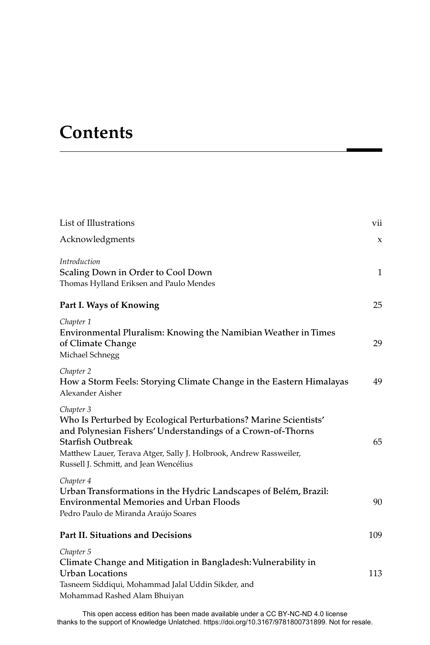## **Contents**

| List of Illustrations                                                                                                                                                                                                                                                             | vii          |
|-----------------------------------------------------------------------------------------------------------------------------------------------------------------------------------------------------------------------------------------------------------------------------------|--------------|
| Acknowledgments                                                                                                                                                                                                                                                                   | X            |
| Introduction<br>Scaling Down in Order to Cool Down<br>Thomas Hylland Eriksen and Paulo Mendes                                                                                                                                                                                     | $\mathbf{1}$ |
| Part I. Ways of Knowing                                                                                                                                                                                                                                                           | 25           |
| Chapter 1<br>Environmental Pluralism: Knowing the Namibian Weather in Times<br>of Climate Change<br>Michael Schnegg                                                                                                                                                               | 29           |
| Chapter 2<br>How a Storm Feels: Storying Climate Change in the Eastern Himalayas<br>Alexander Aisher                                                                                                                                                                              | 49           |
| Chapter 3<br>Who Is Perturbed by Ecological Perturbations? Marine Scientists'<br>and Polynesian Fishers' Understandings of a Crown-of-Thorns<br>Starfish Outbreak<br>Matthew Lauer, Terava Atger, Sally J. Holbrook, Andrew Rassweiler,<br>Russell J. Schmitt, and Jean Wencélius | 65           |
| Chapter 4<br>Urban Transformations in the Hydric Landscapes of Belém, Brazil:<br><b>Environmental Memories and Urban Floods</b><br>Pedro Paulo de Miranda Araújo Soares                                                                                                           | 90           |
| Part II. Situations and Decisions                                                                                                                                                                                                                                                 | 109          |
| Chapter 5<br>Climate Change and Mitigation in Bangladesh: Vulnerability in<br>Urban Locations<br>Tasneem Siddiqui, Mohammad Jalal Uddin Sikder, and<br>Mohammad Rashed Alam Bhuiyan                                                                                               | 113          |
|                                                                                                                                                                                                                                                                                   |              |